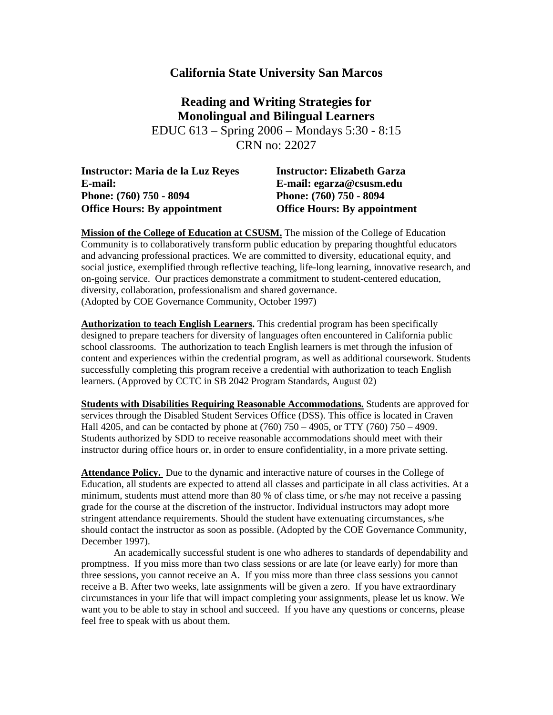## **California State University San Marcos**

**Reading and Writing Strategies for Monolingual and Bilingual Learners**  EDUC 613 – Spring 2006 – Mondays 5:30 - 8:15 CRN no: 22027

| <b>Instructor: Elizabeth Garza</b>  |
|-------------------------------------|
| E-mail: egarza@csusm.edu            |
| Phone: (760) 750 - 8094             |
| <b>Office Hours: By appointment</b> |
|                                     |

**Mission of the College of Education at CSUSM.** The mission of the College of Education Community is to collaboratively transform public education by preparing thoughtful educators and advancing professional practices. We are committed to diversity, educational equity, and social justice, exemplified through reflective teaching, life-long learning, innovative research, and on-going service. Our practices demonstrate a commitment to student-centered education, diversity, collaboration, professionalism and shared governance. (Adopted by COE Governance Community, October 1997)

**Authorization to teach English Learners.** This credential program has been specifically designed to prepare teachers for diversity of languages often encountered in California public school classrooms. The authorization to teach English learners is met through the infusion of content and experiences within the credential program, as well as additional coursework. Students successfully completing this program receive a credential with authorization to teach English learners. (Approved by CCTC in SB 2042 Program Standards, August 02)

**Students with Disabilities Requiring Reasonable Accommodations.** Students are approved for services through the Disabled Student Services Office (DSS). This office is located in Craven Hall 4205, and can be contacted by phone at (760) 750 – 4905, or TTY (760) 750 – 4909. Students authorized by SDD to receive reasonable accommodations should meet with their instructor during office hours or, in order to ensure confidentiality, in a more private setting.

**Attendance Policy.** Due to the dynamic and interactive nature of courses in the College of Education, all students are expected to attend all classes and participate in all class activities. At a minimum, students must attend more than 80 % of class time, or s/he may not receive a passing grade for the course at the discretion of the instructor. Individual instructors may adopt more stringent attendance requirements. Should the student have extenuating circumstances, s/he should contact the instructor as soon as possible. (Adopted by the COE Governance Community, December 1997).

An academically successful student is one who adheres to standards of dependability and promptness. If you miss more than two class sessions or are late (or leave early) for more than three sessions, you cannot receive an A. If you miss more than three class sessions you cannot receive a B. After two weeks, late assignments will be given a zero. If you have extraordinary circumstances in your life that will impact completing your assignments, please let us know. We want you to be able to stay in school and succeed. If you have any questions or concerns, please feel free to speak with us about them.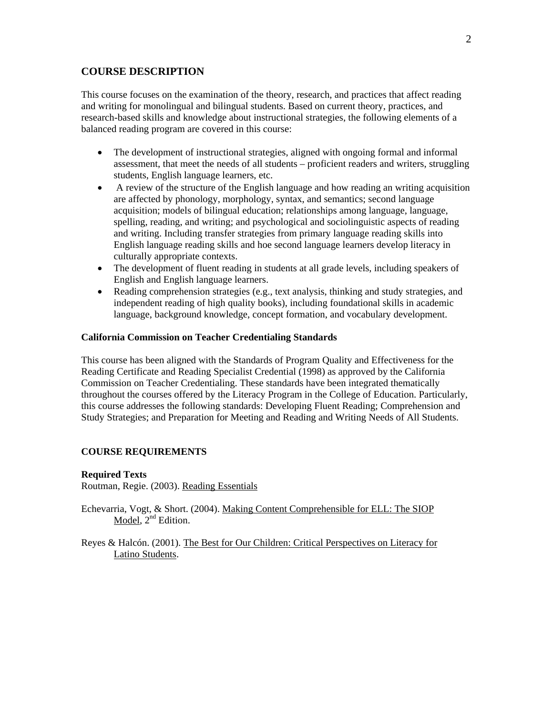## **COURSE DESCRIPTION**

This course focuses on the examination of the theory, research, and practices that affect reading and writing for monolingual and bilingual students. Based on current theory, practices, and research-based skills and knowledge about instructional strategies, the following elements of a balanced reading program are covered in this course:

- The development of instructional strategies, aligned with ongoing formal and informal assessment, that meet the needs of all students – proficient readers and writers, struggling students, English language learners, etc.
- A review of the structure of the English language and how reading an writing acquisition are affected by phonology, morphology, syntax, and semantics; second language acquisition; models of bilingual education; relationships among language, language, spelling, reading, and writing; and psychological and sociolinguistic aspects of reading and writing. Including transfer strategies from primary language reading skills into English language reading skills and hoe second language learners develop literacy in culturally appropriate contexts.
- The development of fluent reading in students at all grade levels, including speakers of English and English language learners.
- Reading comprehension strategies (e.g., text analysis, thinking and study strategies, and independent reading of high quality books), including foundational skills in academic language, background knowledge, concept formation, and vocabulary development.

## **California Commission on Teacher Credentialing Standards**

This course has been aligned with the Standards of Program Quality and Effectiveness for the Reading Certificate and Reading Specialist Credential (1998) as approved by the California Commission on Teacher Credentialing. These standards have been integrated thematically throughout the courses offered by the Literacy Program in the College of Education. Particularly, this course addresses the following standards: Developing Fluent Reading; Comprehension and Study Strategies; and Preparation for Meeting and Reading and Writing Needs of All Students.

## **COURSE REQUIREMENTS**

#### **Required Texts**

Routman, Regie. (2003). Reading Essentials

Echevarria, Vogt, & Short. (2004). Making Content Comprehensible for ELL: The SIOP Model,  $2<sup>nd</sup>$  Edition.

Reyes & Halcón. (2001). The Best for Our Children: Critical Perspectives on Literacy for Latino Students.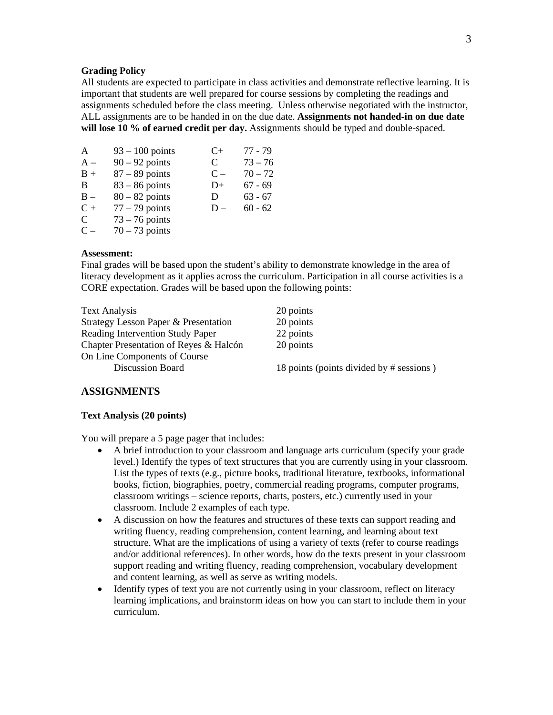## **Grading Policy**

All students are expected to participate in class activities and demonstrate reflective learning. It is important that students are well prepared for course sessions by completing the readings and assignments scheduled before the class meeting. Unless otherwise negotiated with the instructor, ALL assignments are to be handed in on the due date. **Assignments not handed-in on due date will lose 10 % of earned credit per day.** Assignments should be typed and double-spaced.

| A     | $93 - 100$ points | C+    | 77 - 79   |
|-------|-------------------|-------|-----------|
| $A -$ | $90 - 92$ points  | C     | $73 - 76$ |
| $B +$ | $87 - 89$ points  | $C -$ | $70 - 72$ |
| B     | $83 - 86$ points  | D+    | $67 - 69$ |
| $B -$ | $80 - 82$ points  | D     | $63 - 67$ |
| $C +$ | $77 - 79$ points  | $D -$ | $60 - 62$ |
| C     | $73 - 76$ points  |       |           |
| $C -$ | $70 - 73$ points  |       |           |

## **Assessment:**

Final grades will be based upon the student's ability to demonstrate knowledge in the area of literacy development as it applies across the curriculum. Participation in all course activities is a CORE expectation. Grades will be based upon the following points:

| 20 points                                |
|------------------------------------------|
| 20 points                                |
| 22 points                                |
| 20 points                                |
|                                          |
| 18 points (points divided by # sessions) |
|                                          |

### **ASSIGNMENTS**

#### **Text Analysis (20 points)**

You will prepare a 5 page pager that includes:

- A brief introduction to your classroom and language arts curriculum (specify your grade level.) Identify the types of text structures that you are currently using in your classroom. List the types of texts (e.g., picture books, traditional literature, textbooks, informational books, fiction, biographies, poetry, commercial reading programs, computer programs, classroom writings – science reports, charts, posters, etc.) currently used in your classroom. Include 2 examples of each type.
- A discussion on how the features and structures of these texts can support reading and writing fluency, reading comprehension, content learning, and learning about text structure. What are the implications of using a variety of texts (refer to course readings and/or additional references). In other words, how do the texts present in your classroom support reading and writing fluency, reading comprehension, vocabulary development and content learning, as well as serve as writing models.
- Identify types of text you are not currently using in your classroom, reflect on literacy learning implications, and brainstorm ideas on how you can start to include them in your curriculum.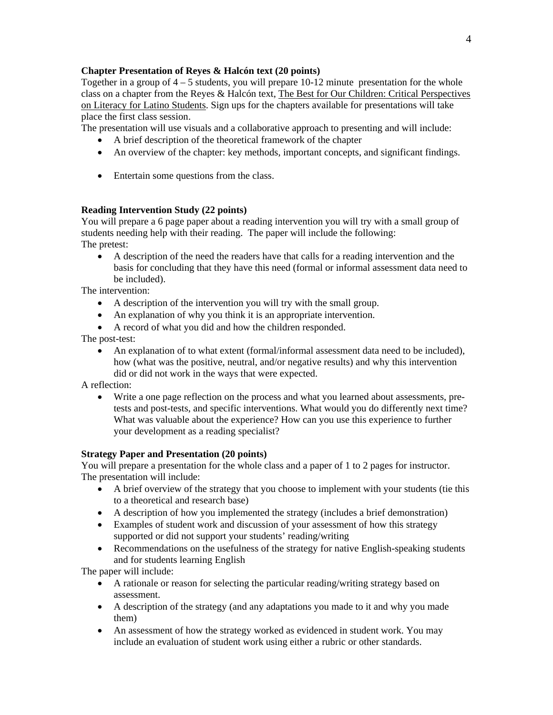## **Chapter Presentation of Reyes & Halcón text (20 points)**

Together in a group of 4 – 5 students, you will prepare 10-12 minute presentation for the whole class on a chapter from the Reyes & Halcón text, The Best for Our Children: Critical Perspectives on Literacy for Latino Students. Sign ups for the chapters available for presentations will take place the first class session.

The presentation will use visuals and a collaborative approach to presenting and will include:

- A brief description of the theoretical framework of the chapter
- An overview of the chapter: key methods, important concepts, and significant findings.
- Entertain some questions from the class.

## **Reading Intervention Study (22 points)**

You will prepare a 6 page paper about a reading intervention you will try with a small group of students needing help with their reading. The paper will include the following: The pretest:

• A description of the need the readers have that calls for a reading intervention and the basis for concluding that they have this need (formal or informal assessment data need to be included).

The intervention:

- A description of the intervention you will try with the small group.
- An explanation of why you think it is an appropriate intervention.
- A record of what you did and how the children responded.

The post-test:

• An explanation of to what extent (formal/informal assessment data need to be included), how (what was the positive, neutral, and/or negative results) and why this intervention did or did not work in the ways that were expected.

A reflection:

• Write a one page reflection on the process and what you learned about assessments, pretests and post-tests, and specific interventions. What would you do differently next time? What was valuable about the experience? How can you use this experience to further your development as a reading specialist?

## **Strategy Paper and Presentation (20 points)**

You will prepare a presentation for the whole class and a paper of 1 to 2 pages for instructor. The presentation will include:

- A brief overview of the strategy that you choose to implement with your students (tie this to a theoretical and research base)
- A description of how you implemented the strategy (includes a brief demonstration)
- Examples of student work and discussion of your assessment of how this strategy supported or did not support your students' reading/writing
- Recommendations on the usefulness of the strategy for native English-speaking students and for students learning English

The paper will include:

- A rationale or reason for selecting the particular reading/writing strategy based on assessment.
- A description of the strategy (and any adaptations you made to it and why you made them)
- An assessment of how the strategy worked as evidenced in student work. You may include an evaluation of student work using either a rubric or other standards.